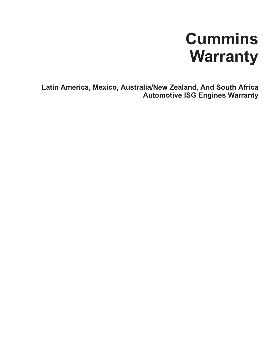# **Cummins Warranty**

**Latin America, Mexico, Australia/New Zealand, And South Africa Automotive ISG Engines Warranty**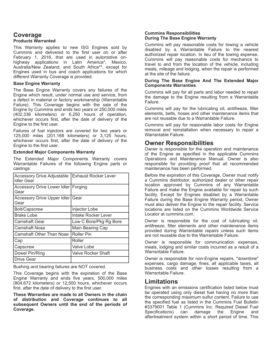### **Coverage Products Warranted**

This Warranty applies to new ISG Engines sold by Cummins and delivered to the first user on or after February 1, 2016, that are used in automotive onhighway applications in Latin America\*, Mexico, Australia/New Zealand, and South Africa\*\*, except for Engines used in bus and coach applications for which different Warranty Coverage is provided.

#### **Base Engine Warranty**

The Base Engine Warranty covers any failures of the Engine which result, under normal use and service, from a defect in material or factory workmanship (Warrantable Failure). This Coverage begins with the sale of the Engine by Cummins and ends two years or 250,000 miles (402,336 kilometers) or 6,250 hours of operation, whichever occurs first, after the date of delivery of the Engine to the first user.

Failures of fuel injectors are covered for two years or 125,000 miles (201,168 kilometers) or 3,125 hours, whichever occurs first, after the date of delivery of the Engine to the first user.

#### **Extended Major Components Warranty**

The Extended Major Components Warranty covers Warrantable Failures of the following Engine parts or castings:

| <b>Accessory Drive Adjustable</b><br><b>Idler Gear</b> | <b>Exhaust Rocker Lever</b> |
|--------------------------------------------------------|-----------------------------|
| Accessory Drive Lower Idler   Forging<br>Gear          |                             |
| Accessory Drive Upper Idler   Gear<br>Gear             |                             |
| Bolt/Capscrew                                          | Injector Lobe               |
| Brake Lobe                                             | Intake Rocker Lever         |
| <b>Camshaft Gear</b>                                   | Low C Bore/Pkg Rg Bore      |
| <b>Camshaft Nose</b>                                   | Main Bearing Cap            |
| <b>Camshaft Other Than Nose</b>                        | <b>Roller Pin</b>           |
| Cap                                                    | Roller                      |
| Capscrew                                               | Valve Lobe                  |
| Dowel Pin/Ring                                         | <b>Valve Rocker Shaft</b>   |
| <b>Drive Gear</b>                                      |                             |

Bushing and bearing failures are NOT covered.

This Coverage begins with the expiration of the Base Engine Warranty and ends five years, 500,000 miles (804,672 kilometers) or 12,500 hours, whichever occurs first, after the date of delivery to the first user.

**These Warranties are made to all Owners in the chain of distribution and Coverage continues to all subsequent Owners until the end of the periods of Coverage.**

#### **Cummins Responsibilities During The Base Engine Warranty**

Cummins will pay reasonable costs for towing a vehicle disabled by a Warrantable Failure to the nearest authorized repair location. In lieu of the towing expense, Cummins will pay reasonable costs for mechanics to travel to and from the location of the vehicle, including meals, mileage and lodging, when the repair is performed at the site of the failure.

#### **During The Base Engine And The Extended Major Components Warranties**

Cummins will pay for all parts and labor needed to repair the damage to the Engine resulting from a Warrantable Failure.

Cummins will pay for the lubricating oil, antifreeze, filter elements, belts, hoses and other maintenance items that are not reusable due to a Warrantable Failure.

Cummins will pay for reasonable labor costs for Engine removal and reinstallation when necessary to repair a Warrantable Failure.

## **Owner Responsibilities**

Owner is responsible for the operation and maintenance of the Engine as specified in the applicable Cummins Operations and Maintenance Manual. Owner is also responsible for providing proof that all recommended maintenance has been performed.

Before the expiration of this Coverage, Owner must notify a Cummins distributor, authorized dealer or other repair location approved by Cummins of any Warrantable Failure and make the Engine available for repair by such facility. Except for Engines disabled by a Warrantable Failure during the Base Engine Warranty period, Owner must also deliver the Engine to the repair facility. Service locations are listed on the Cummins Worldwide Service Locator at cummins.com.

Owner is responsible for the cost of lubricating oil, antifreeze, filter elements and other maintenance items provided during Warrantable repairs unless such items are not reusable due to the Warrantable Failure.

Owner is responsible for communication expenses, meals, lodging and similar costs incurred as a result of a Warrantable Failure.

Owner is responsible for non-Engine repairs, "downtime" expenses, cargo damage, fines, all applicable taxes, all business costs and other losses resulting from a Warrantable Failure.

## **Limitations**

Engines with an emissions certification listed below must be operated using only diesel fuel having no more than the corresponding maximum sulfur content. Failure to use the specified fuel as listed in the Cummins Fuel Bulletin #3379001 Table 1 (Cummins Inc. Required Diesel Fuel Specifications) can damage the Engine and aftertreatment system within a short period of time. This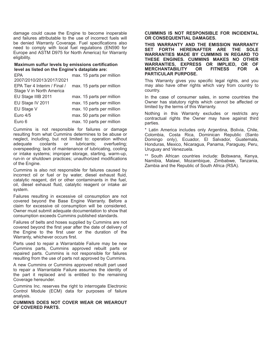damage could cause the Engine to become inoperable and failures attributable to the use of incorrect fuels will be denied Warranty Coverage. Fuel specifications also need to comply with local fuel regulations (EN590 for Europe and ASTM D975 for North America) for Warranty eligibility.

#### **Maximum sulfur levels by emissions certification level as listed on the Engine's dataplate are:**

| <b>EPA</b>                   | max. 15 parts per million |
|------------------------------|---------------------------|
| 2007/2010/2013/2017/2021     |                           |
| EPA Tier 4 Interim / Final / | max. 15 parts per million |
| Stage V in North America     |                           |
| EU Stage IIIB 2011           | max. 15 parts per million |
| EU Stage IV 2011             | max. 15 parts per million |
| EU Stage V                   | max. 10 parts per million |
| Euro 4/5                     | max. 50 parts per million |
| Euro 6                       | max. 10 parts per million |

Cummins is not responsible for failures or damage resulting from what Cummins determines to be abuse or neglect, including, but not limited to: operation without adequate coolants or lubricants; overfueling; overspeeding; lack of maintenance of lubricating, cooling or intake systems; improper storage, starting, warm-up, run-in or shutdown practices; unauthorized modifications of the Engine.

Cummins is also not responsible for failures caused by incorrect oil or fuel or by water, diesel exhaust fluid, catalytic reagent, dirt or other contaminants in the fuel, oil, diesel exhaust fluid, catalytic reagent or intake air system.

Failures resulting in excessive oil consumption are not covered beyond the Base Engine Warranty. Before a claim for excessive oil consumption will be considered, Owner must submit adequate documentation to show that consumption exceeds Cummins published standards.

Failures of belts and hoses supplied by Cummins are not covered beyond the first year after the date of delivery of the Engine to the first user or the duration of the Warranty, whichever occurs first.

Parts used to repair a Warrantable Failure may be new Cummins parts, Cummins approved rebuilt parts or repaired parts. Cummins is not responsible for failures resulting from the use of parts not approved by Cummins.

A new Cummins or Cummins approved rebuilt part used to repair a Warrantable Failure assumes the identity of the part it replaced and is entitled to the remaining Coverage hereunder.

Cummins Inc. reserves the right to interrogate Electronic Control Module (ECM) data for purposes of failure analysis.

**CUMMINS DOES NOT COVER WEAR OR WEAROUT OF COVERED PARTS.**

#### **CUMMINS IS NOT RESPONSIBLE FOR INCIDENTAL OR CONSEQUENTIAL DAMAGES.**

**THIS WARRANTY AND THE EMISSION WARRANTY SET FORTH HEREINAFTER ARE THE SOLE WARRANTIES MADE BY CUMMINS IN REGARD TO THESE ENGINES. CUMMINS MAKES NO OTHER WARRANTIES, EXPRESS OR IMPLIED, OR OF MERCHANTABILITY OR FITNESS FOR A PARTICULAR PURPOSE.**

This Warranty gives you specific legal rights, and you may also have other rights which vary from country to country.

In the case of consumer sales, in some countries the Owner has statutory rights which cannot be affected or limited by the terms of this Warranty.

Nothing in this Warranty excludes or restricts any contractual rights the Owner may have against third parties.

\* Latin America includes only Argentina, Bolivia, Chile, Colombia, Costa Rica, Dominican Republic (Santo Domingo only), Ecuador, El Salvador, Guatemala, Honduras, Mexico, Nicaragua, Panama, Paraguay, Peru, Uruguay and Venezuela.

\*\* South African countries include: Botswana, Kenya, Namibia, Malawi, Mozambique, Zimbabwe, Tanzania, Zambia and the Republic of South Africa (RSA).